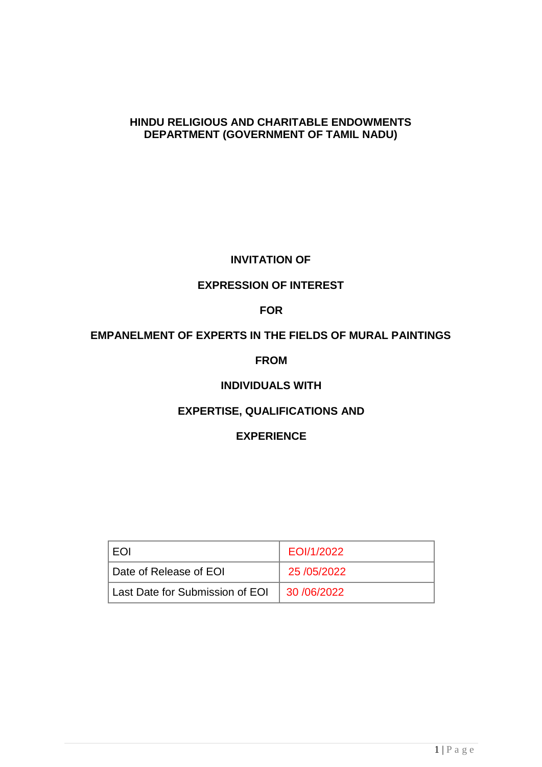#### **HINDU RELIGIOUS AND CHARITABLE ENDOWMENTS DEPARTMENT (GOVERNMENT OF TAMIL NADU)**

## **INVITATION OF**

## **EXPRESSION OF INTEREST**

## **FOR**

## **EMPANELMENT OF EXPERTS IN THE FIELDS OF MURAL PAINTINGS**

#### **FROM**

## **INDIVIDUALS WITH**

## **EXPERTISE, QUALIFICATIONS AND**

## **EXPERIENCE**

| <b>FOI</b>                      | EOI/1/2022    |
|---------------------------------|---------------|
| Date of Release of EOI          | 25 / 05/2022  |
| Last Date for Submission of EOI | 30 / 06/ 2022 |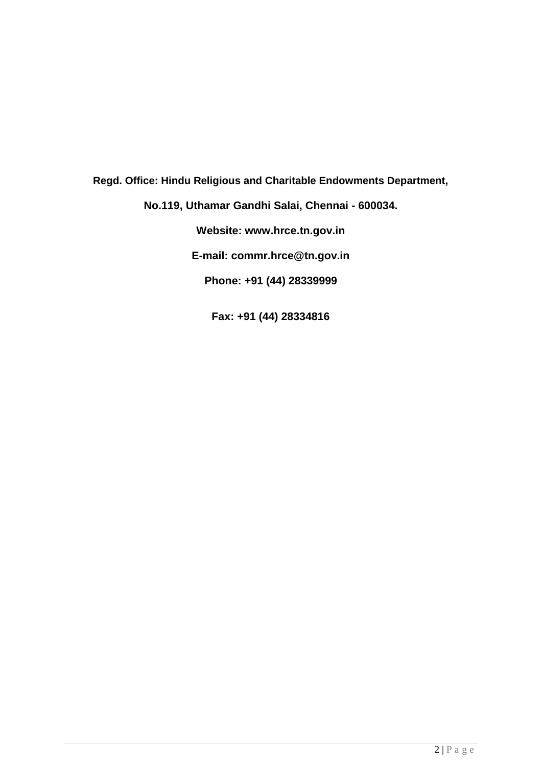**Regd. Office: Hindu Religious and Charitable Endowments Department, No.119, Uthamar Gandhi Salai, Chennai - 600034.**

**Website: www.hrce.tn.gov.in**

**E-mail: commr.hrce@tn.gov.in**

**Phone: +91 (44) 28339999**

**Fax: +91 (44) 28334816**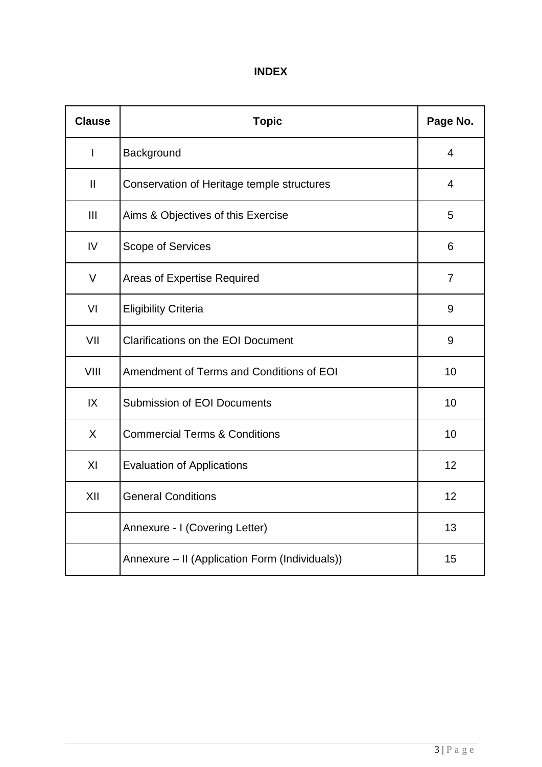## **INDEX**

| <b>Clause</b> | <b>Topic</b>                                   | Page No.       |
|---------------|------------------------------------------------|----------------|
| $\mathsf{l}$  | Background                                     | $\overline{4}$ |
| $\mathbf{II}$ | Conservation of Heritage temple structures     | 4              |
| Ш             | Aims & Objectives of this Exercise             | 5              |
| IV            | Scope of Services                              | 6              |
| V             | <b>Areas of Expertise Required</b>             | $\overline{7}$ |
| VI            | <b>Eligibility Criteria</b>                    | 9              |
| VII           | <b>Clarifications on the EOI Document</b>      | 9              |
| VIII          | Amendment of Terms and Conditions of EOI       | 10             |
| IX            | <b>Submission of EOI Documents</b>             | 10             |
| X             | <b>Commercial Terms &amp; Conditions</b>       | 10             |
| XI            | <b>Evaluation of Applications</b>              | 12             |
| XII           | <b>General Conditions</b>                      | 12             |
|               | Annexure - I (Covering Letter)                 | 13             |
|               | Annexure – II (Application Form (Individuals)) | 15             |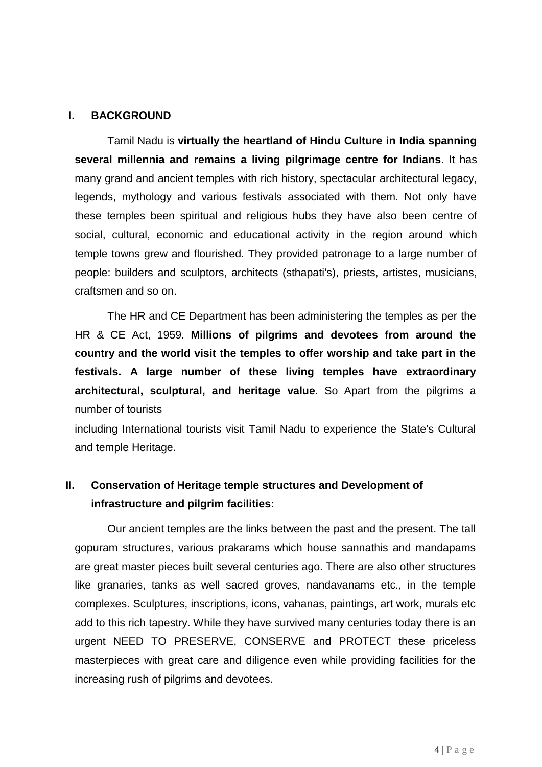## **I. BACKGROUND**

Tamil Nadu is **virtually the heartland of Hindu Culture in India spanning several millennia and remains a living pilgrimage centre for Indians**. It has many grand and ancient temples with rich history, spectacular architectural legacy, legends, mythology and various festivals associated with them. Not only have these temples been spiritual and religious hubs they have also been centre of social, cultural, economic and educational activity in the region around which temple towns grew and flourished. They provided patronage to a large number of people: builders and sculptors, architects (sthapati's), priests, artistes, musicians, craftsmen and so on.

The HR and CE Department has been administering the temples as per the HR & CE Act, 1959. **Millions of pilgrims and devotees from around the country and the world visit the temples to offer worship and take part in the festivals. A large number of these living temples have extraordinary architectural, sculptural, and heritage value**. So Apart from the pilgrims a number of tourists

including International tourists visit Tamil Nadu to experience the State's Cultural and temple Heritage.

# **II. Conservation of Heritage temple structures and Development of infrastructure and pilgrim facilities:**

Our ancient temples are the links between the past and the present. The tall gopuram structures, various prakarams which house sannathis and mandapams are great master pieces built several centuries ago. There are also other structures like granaries, tanks as well sacred groves, nandavanams etc., in the temple complexes. Sculptures, inscriptions, icons, vahanas, paintings, art work, murals etc add to this rich tapestry. While they have survived many centuries today there is an urgent NEED TO PRESERVE, CONSERVE and PROTECT these priceless masterpieces with great care and diligence even while providing facilities for the increasing rush of pilgrims and devotees.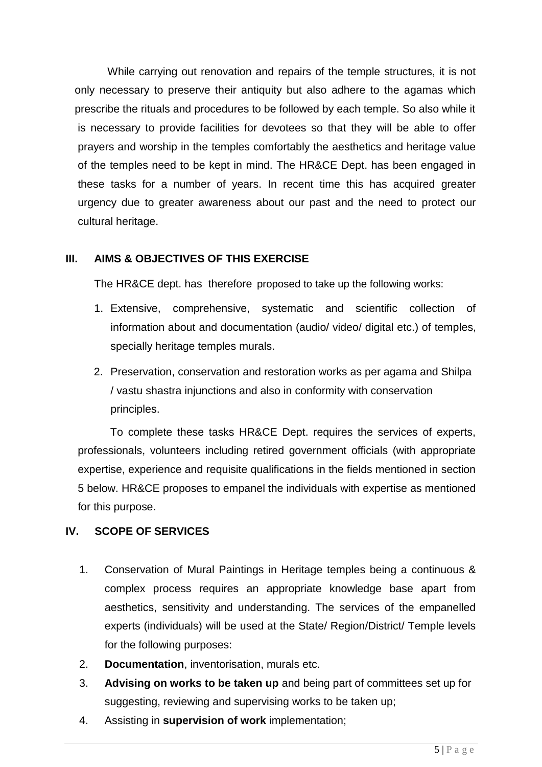While carrying out renovation and repairs of the temple structures, it is not only necessary to preserve their antiquity but also adhere to the agamas which prescribe the rituals and procedures to be followed by each temple. So also while it is necessary to provide facilities for devotees so that they will be able to offer prayers and worship in the temples comfortably the aesthetics and heritage value of the temples need to be kept in mind. The HR&CE Dept. has been engaged in these tasks for a number of years. In recent time this has acquired greater urgency due to greater awareness about our past and the need to protect our cultural heritage.

## **III. AIMS & OBJECTIVES OF THIS EXERCISE**

The HR&CE dept. has therefore proposed to take up the following works:

- 1. Extensive, comprehensive, systematic and scientific collection of information about and documentation (audio/ video/ digital etc.) of temples, specially heritage temples murals.
- 2. Preservation, conservation and restoration works as per agama and Shilpa / vastu shastra injunctions and also in conformity with conservation principles.

To complete these tasks HR&CE Dept. requires the services of experts, professionals, volunteers including retired government officials (with appropriate expertise, experience and requisite qualifications in the fields mentioned in section 5 below. HR&CE proposes to empanel the individuals with expertise as mentioned for this purpose.

#### **IV. SCOPE OF SERVICES**

- 1. Conservation of Mural Paintings in Heritage temples being a continuous & complex process requires an appropriate knowledge base apart from aesthetics, sensitivity and understanding. The services of the empanelled experts (individuals) will be used at the State/ Region/District/ Temple levels for the following purposes:
- 2. **Documentation**, inventorisation, murals etc.
- 3. **Advising on works to be taken up** and being part of committees set up for suggesting, reviewing and supervising works to be taken up;
- 4. Assisting in **supervision of work** implementation;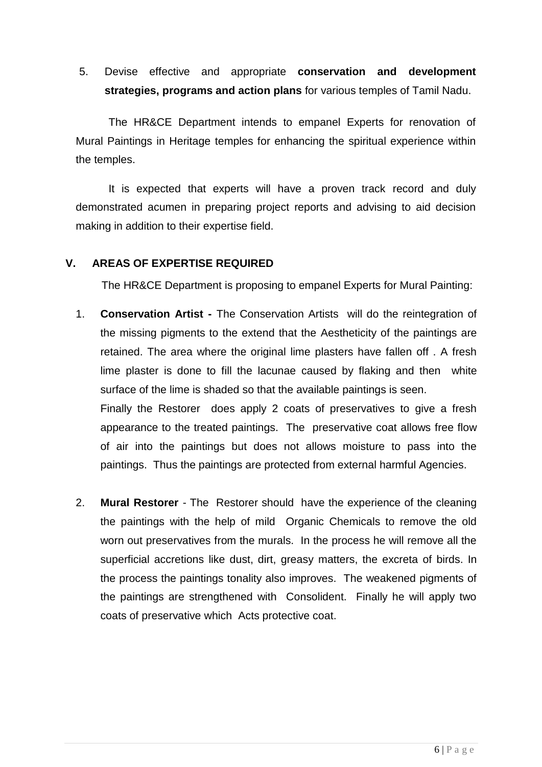5. Devise effective and appropriate **conservation and development strategies, programs and action plans** for various temples of Tamil Nadu.

The HR&CE Department intends to empanel Experts for renovation of Mural Paintings in Heritage temples for enhancing the spiritual experience within the temples.

It is expected that experts will have a proven track record and duly demonstrated acumen in preparing project reports and advising to aid decision making in addition to their expertise field.

## **V. AREAS OF EXPERTISE REQUIRED**

The HR&CE Department is proposing to empanel Experts for Mural Painting:

1. **Conservation Artist -** The Conservation Artists will do the reintegration of the missing pigments to the extend that the Aestheticity of the paintings are retained. The area where the original lime plasters have fallen off . A fresh lime plaster is done to fill the lacunae caused by flaking and then white surface of the lime is shaded so that the available paintings is seen.

Finally the Restorer does apply 2 coats of preservatives to give a fresh appearance to the treated paintings. The preservative coat allows free flow of air into the paintings but does not allows moisture to pass into the paintings. Thus the paintings are protected from external harmful Agencies.

2. **Mural Restorer** - The Restorer should have the experience of the cleaning the paintings with the help of mild Organic Chemicals to remove the old worn out preservatives from the murals. In the process he will remove all the superficial accretions like dust, dirt, greasy matters, the excreta of birds. In the process the paintings tonality also improves. The weakened pigments of the paintings are strengthened with Consolident. Finally he will apply two coats of preservative which Acts protective coat.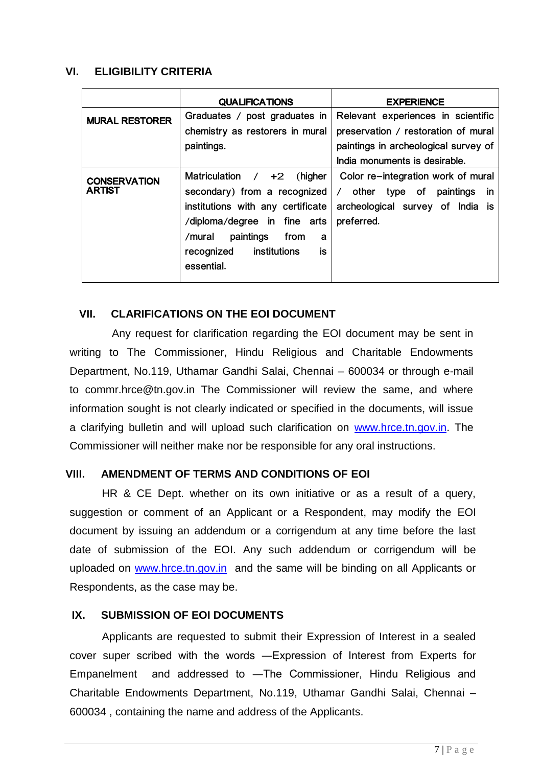## **VI. ELIGIBILITY CRITERIA**

|                       | <b>QUALIFICATIONS</b>             | <b>EXPERIENCE</b>                                      |
|-----------------------|-----------------------------------|--------------------------------------------------------|
| <b>MURAL RESTORER</b> | Graduates / post graduates in     | Relevant experiences in scientific                     |
|                       | chemistry as restorers in mural   | preservation / restoration of mural                    |
|                       | paintings.                        | paintings in archeological survey of                   |
|                       |                                   | India monuments is desirable.                          |
| <b>CONSERVATION</b>   | Matriculation $/ +2$<br>(higher   | Color re-integration work of mural                     |
| <b>ARTIST</b>         | secondary) from a recognized      | $\prime$<br>other<br>type of<br>paintings<br><b>in</b> |
|                       | institutions with any certificate | archeological survey of<br>India is                    |
|                       | /diploma/degree in fine arts      | preferred.                                             |
|                       | paintings<br>from<br>/mural<br>a  |                                                        |
|                       | is<br>recognized<br>institutions  |                                                        |
|                       | essential.                        |                                                        |
|                       |                                   |                                                        |

## **VII. CLARIFICATIONS ON THE EOI DOCUMENT**

Any request for clarification regarding the EOI document may be sent in writing to The Commissioner, Hindu Religious and Charitable Endowments Department, No.119, Uthamar Gandhi Salai, Chennai – 600034 or through e-mail to commr.hrce@tn.gov.in The Commissioner will review the same, and where information sought is not clearly indicated or specified in the documents, will issue a clarifying bulletin and will upload such clarification on [www.hrce.tn.gov.in.](http://www.hrce.tn.gov.in/) The Commissioner will neither make nor be responsible for any oral instructions.

#### **VIII. AMENDMENT OF TERMS AND CONDITIONS OF EOI**

HR & CE Dept. whether on its own initiative or as a result of a query, suggestion or comment of an Applicant or a Respondent, may modify the EOI document by issuing an addendum or a corrigendum at any time before the last date of submission of the EOI. Any such addendum or corrigendum will be uploaded on [www.hrce.tn.gov.in](http://www.hrce.tn.gov.in/) and the same will be binding on all Applicants or Respondents, as the case may be.

## **IX. SUBMISSION OF EOI DOCUMENTS**

Applicants are requested to submit their Expression of Interest in a sealed cover super scribed with the words ―Expression of Interest from Experts for Empanelment and addressed to ―The Commissioner, Hindu Religious and Charitable Endowments Department, No.119, Uthamar Gandhi Salai, Chennai – 600034 , containing the name and address of the Applicants.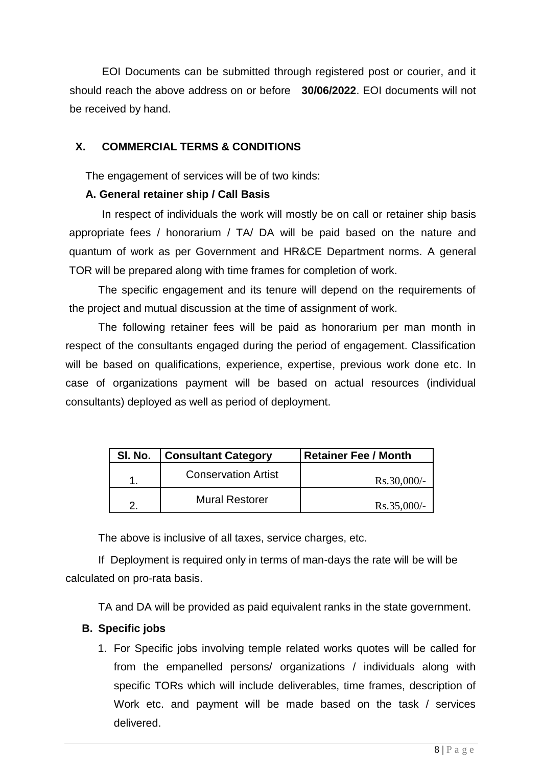EOI Documents can be submitted through registered post or courier, and it should reach the above address on or before **30/06/2022**. EOI documents will not be received by hand.

## **X. COMMERCIAL TERMS & CONDITIONS**

The engagement of services will be of two kinds:

## **A. General retainer ship / Call Basis**

In respect of individuals the work will mostly be on call or retainer ship basis appropriate fees / honorarium / TA/ DA will be paid based on the nature and quantum of work as per Government and HR&CE Department norms. A general TOR will be prepared along with time frames for completion of work.

The specific engagement and its tenure will depend on the requirements of the project and mutual discussion at the time of assignment of work.

The following retainer fees will be paid as honorarium per man month in respect of the consultants engaged during the period of engagement. Classification will be based on qualifications, experience, expertise, previous work done etc. In case of organizations payment will be based on actual resources (individual consultants) deployed as well as period of deployment.

| SI. No. | <b>Consultant Category</b> | <b>Retainer Fee / Month</b> |
|---------|----------------------------|-----------------------------|
|         | <b>Conservation Artist</b> | $Rs.30,000/-$               |
|         | <b>Mural Restorer</b>      | $Rs.35,000/-$               |

The above is inclusive of all taxes, service charges, etc.

If Deployment is required only in terms of man-days the rate will be will be calculated on pro-rata basis.

TA and DA will be provided as paid equivalent ranks in the state government.

## **B. Specific jobs**

1. For Specific jobs involving temple related works quotes will be called for from the empanelled persons/ organizations / individuals along with specific TORs which will include deliverables, time frames, description of Work etc. and payment will be made based on the task / services delivered.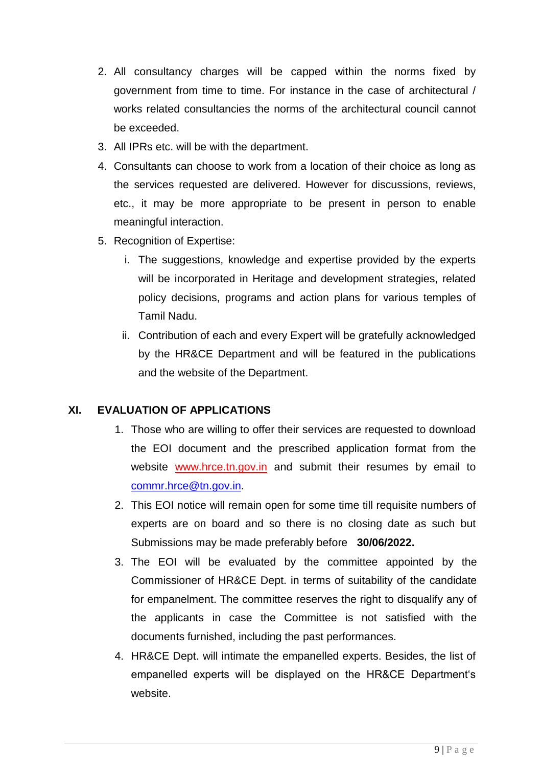- 2. All consultancy charges will be capped within the norms fixed by government from time to time. For instance in the case of architectural / works related consultancies the norms of the architectural council cannot be exceeded.
- 3. All IPRs etc. will be with the department.
- 4. Consultants can choose to work from a location of their choice as long as the services requested are delivered. However for discussions, reviews, etc., it may be more appropriate to be present in person to enable meaningful interaction.
- 5. Recognition of Expertise:
	- i. The suggestions, knowledge and expertise provided by the experts will be incorporated in Heritage and development strategies, related policy decisions, programs and action plans for various temples of Tamil Nadu.
	- ii. Contribution of each and every Expert will be gratefully acknowledged by the HR&CE Department and will be featured in the publications and the website of the Department.

## **XI. EVALUATION OF APPLICATIONS**

- 1. Those who are willing to offer their services are requested to download the EOI document and the prescribed application format from the website www.hrce.tn.gov.in and submit their resumes by email to [commr.hrce@tn.gov.in.](mailto:commr.hrce@tn.gov.in)
- 2. This EOI notice will remain open for some time till requisite numbers of experts are on board and so there is no closing date as such but Submissions may be made preferably before **30/06/2022.**
- 3. The EOI will be evaluated by the committee appointed by the Commissioner of HR&CE Dept. in terms of suitability of the candidate for empanelment. The committee reserves the right to disqualify any of the applicants in case the Committee is not satisfied with the documents furnished, including the past performances.
- 4. HR&CE Dept. will intimate the empanelled experts. Besides, the list of empanelled experts will be displayed on the HR&CE Department's website.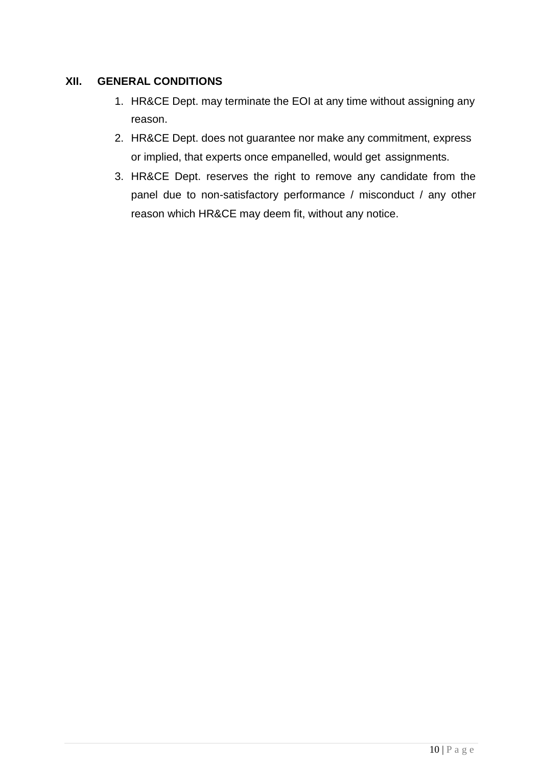## **XII. GENERAL CONDITIONS**

- 1. HR&CE Dept. may terminate the EOI at any time without assigning any reason.
- 2. HR&CE Dept. does not guarantee nor make any commitment, express or implied, that experts once empanelled, would get assignments.
- 3. HR&CE Dept. reserves the right to remove any candidate from the panel due to non-satisfactory performance / misconduct / any other reason which HR&CE may deem fit, without any notice.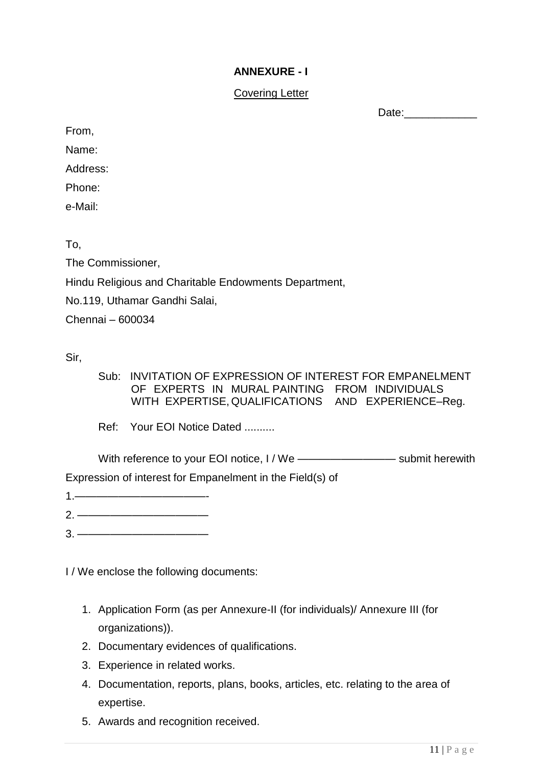## **ANNEXURE - I**

## Covering Letter

Date:

From,

Name:

Address:

Phone:

e-Mail:

To,

The Commissioner,

Hindu Religious and Charitable Endowments Department,

No.119, Uthamar Gandhi Salai,

Chennai – 600034

Sir,

Sub: INVITATION OF EXPRESSION OF INTEREST FOR EMPANELMENT OF EXPERTS IN MURAL PAINTING FROM INDIVIDUALS WITH EXPERTISE, QUALIFICATIONS AND EXPERIENCE–Reg.

Ref: Your EOI Notice Dated ..........

With reference to your EOI notice, I / We ——————————— submit herewith

Expression of interest for Empanelment in the Field(s) of

- 1.————————————-
- 2. ————————————
- $3.$  —————

I / We enclose the following documents:

- 1. Application Form (as per Annexure-II (for individuals)/ Annexure III (for organizations)).
- 2. Documentary evidences of qualifications.
- 3. Experience in related works.
- 4. Documentation, reports, plans, books, articles, etc. relating to the area of expertise.
- 5. Awards and recognition received.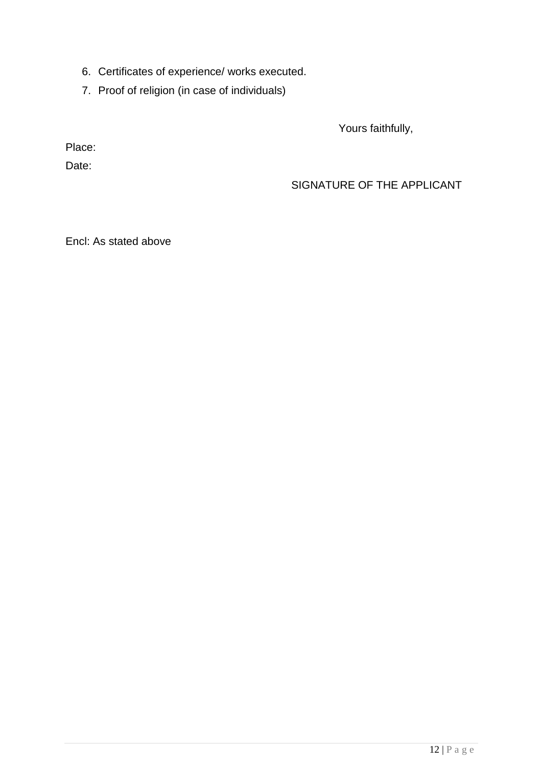- 6. Certificates of experience/ works executed.
- 7. Proof of religion (in case of individuals)

Yours faithfully,

Place:

Date:

## SIGNATURE OF THE APPLICANT

Encl: As stated above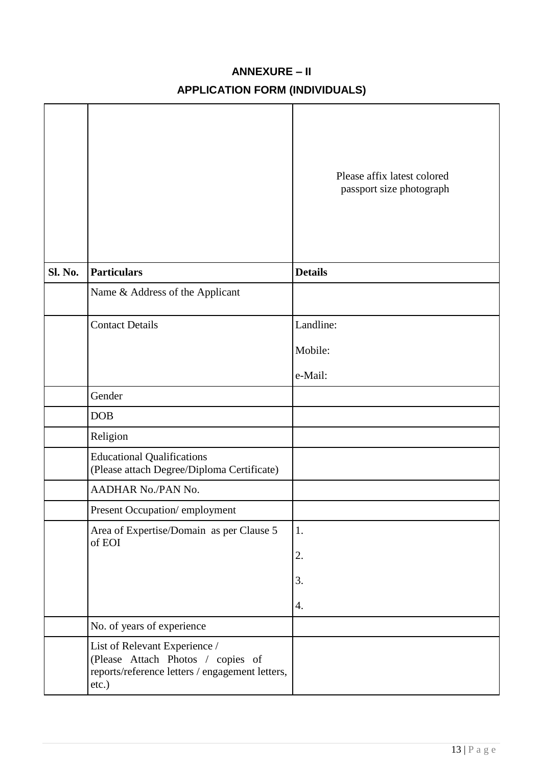## **ANNEXURE – II**

# **APPLICATION FORM (INDIVIDUALS)**

|         |                                                                                                                                | Please affix latest colored<br>passport size photograph |
|---------|--------------------------------------------------------------------------------------------------------------------------------|---------------------------------------------------------|
| Sl. No. | <b>Particulars</b>                                                                                                             | <b>Details</b>                                          |
|         | Name & Address of the Applicant                                                                                                |                                                         |
|         | <b>Contact Details</b>                                                                                                         | Landline:                                               |
|         |                                                                                                                                | Mobile:                                                 |
|         |                                                                                                                                | e-Mail:                                                 |
|         | Gender                                                                                                                         |                                                         |
|         | DOB                                                                                                                            |                                                         |
|         | Religion                                                                                                                       |                                                         |
|         | <b>Educational Qualifications</b><br>(Please attach Degree/Diploma Certificate)                                                |                                                         |
|         | AADHAR No./PAN No.                                                                                                             |                                                         |
|         | Present Occupation/employment                                                                                                  |                                                         |
|         | Area of Expertise/Domain as per Clause 5                                                                                       | 1.                                                      |
|         | of EOI                                                                                                                         | 2.                                                      |
|         |                                                                                                                                | 3.                                                      |
|         |                                                                                                                                | 4.                                                      |
|         | No. of years of experience                                                                                                     |                                                         |
|         | List of Relevant Experience /<br>(Please Attach Photos / copies of<br>reports/reference letters / engagement letters,<br>etc.) |                                                         |